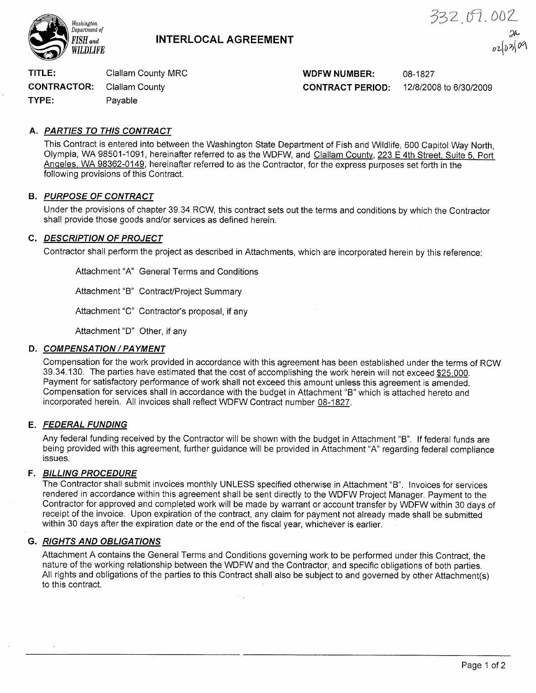

# $FISH$ <sub>and</sub>  $NTERLOCAL$   $AGREEMENT$

332.07.002 2r- $\mu_2$ 

TITLE: Clallam County MRC **WILLER WILLIAM WOFW NUMBER:** 08-1827

CONTRACTOR: Clallam County CONTRACT PERIOD: 12/8/2008 to 6/30/2009

TYPE: Payable

# A. PARTIES TO THIS CONTRACT

This Contract is entered into between the Washington State Department of Fish and Wildlife, 600 Capitol Way North, Olympia, WA 98501-1091, hereinafter referred to as the WDFW, and Clallam County, 223 E 4th Street. Suite 5. Port Anqeles, WA 98362-0149, hereinafter referred to as the Contractor, for the express purposes set forth in the following provisions of this Contract.

## **B. PURPOSE OF CONTRACT**

Under the provisions of chapter 39.34 RCW, this contract sets out the terms and conditions by which the Contractor shall provide those goods and/or services as defined herein.

# C. DESCRIPTION OF PROJECT

Contractor shall perform the project as described in Attachments, which are incorporated herein by this reference:

Attachment "A" General Terms and Conditions

Attachment "B" Contract/Project Summary

Attachment "C" Contractor's proposal, if any

Attachment "D" Other, if any

# D. COMPENSATION / PAYMENT

Compensation for the work provided in accordance with this agreement has been established under the terms of RCW 39.34.130. The parties have estimated that the cost of accomplishing the work herein will not exceed \$25,000. Payment for satisfactory performance of work shall not exceed this amount unless this agreement is amended. Compensation for services shall in accordance with the budget in Attachment "8" which is attached hereto and incorporated herein. All invoices shall reflect WDFW Contract number 08-1827.

# E. FEDERAL FUNDING

Any federal funding received by the Contractor will be shown with the budget in Attachment "8". lf federal funds are being provided with this agreement, further guidance will be provided in Attachment "4" regarding federal compliance issues.

# F. BILLING PROCEDURE

The Contractor shall submit invoices monthly UNLESS specified otherwise in Attachment "B". lnvoices for services rendered in accordance within this agreement shall be sent directly to the WDFW Project Manager. Payment to the Contractor for approved and completed work wíll be made by warrant or account transfer by WDFW within 30 days of receipt of the invoice. Upon expiration of the contract, any claim for payment not already made shall be submitted within 30 days after the expiration date or the end of the fiscal year, whichever is earlier.

# G. RIGHTS AND OBLIGATIONS

Attachment A contains the General Terms and Conditions governing work to be performed under this Contract, the nature of the working relationship between the WDFW and the Contractor, and specific obligations of both parties. All rights and obligations of the parties to this Contract shall also be subject to and governed by other Attachment(s) to this contract.